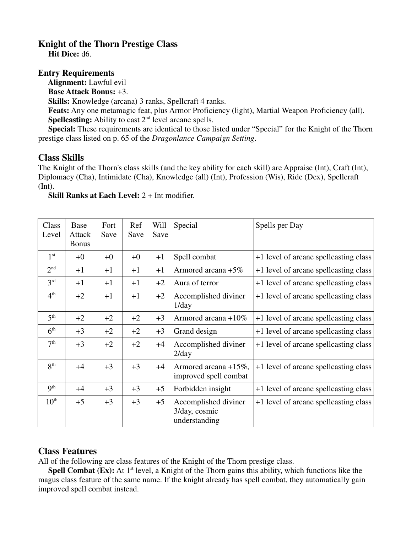## **Knight of the Thorn Prestige Class**

 **Hit Dice:** d6.

## **Entry Requirements**

**Alignment:** Lawful evil

**Base Attack Bonus:** +3.

**Skills:** Knowledge (arcana) 3 ranks, Spellcraft 4 ranks.

 **Feats:** Any one metamagic feat, plus Armor Proficiency (light), Martial Weapon Proficiency (all). **Spellcasting:** Ability to cast  $2<sup>nd</sup>$  level arcane spells.

 **Special:** These requirements are identical to those listed under "Special" for the Knight of the Thorn prestige class listed on p. 65 of the *Dragonlance Campaign Setting*.

## **Class Skills**

The Knight of the Thorn's class skills (and the key ability for each skill) are Appraise (Int), Craft (Int), Diplomacy (Cha), Intimidate (Cha), Knowledge (all) (Int), Profession (Wis), Ride (Dex), Spellcraft (Int).

**Skill Ranks at Each Level:** 2 + Int modifier.

| Class<br>Level   | Base<br>Attack<br><b>Bonus</b> | Fort<br>Save | Ref<br>Save | Will<br>Save | Special                                                | Spells per Day                        |
|------------------|--------------------------------|--------------|-------------|--------------|--------------------------------------------------------|---------------------------------------|
| 1 <sup>st</sup>  | $+0$                           | $+0$         | $+0$        | $+1$         | Spell combat                                           | +1 level of arcane spellcasting class |
| 2 <sup>nd</sup>  | $+1$                           | $+1$         | $+1$        | $+1$         | Armored arcana +5%                                     | +1 level of arcane spellcasting class |
| 3 <sup>rd</sup>  | $+1$                           | $+1$         | $+1$        | $+2$         | Aura of terror                                         | +1 level of arcane spellcasting class |
| 4 <sup>th</sup>  | $+2$                           | $+1$         | $+1$        | $+2$         | Accomplished diviner<br>$1$ /day                       | +1 level of arcane spellcasting class |
| 5 <sup>th</sup>  | $+2$                           | $+2$         | $+2$        | $+3$         | Armored arcana +10%                                    | +1 level of arcane spellcasting class |
| 6 <sup>th</sup>  | $+3$                           | $+2$         | $+2$        | $+3$         | Grand design                                           | +1 level of arcane spellcasting class |
| 7 <sup>th</sup>  | $+3$                           | $+2$         | $+2$        | $+4$         | Accomplished diviner<br>$2$ /day                       | +1 level of arcane spellcasting class |
| 8 <sup>th</sup>  | $+4$                           | $+3$         | $+3$        | $+4$         | Armored arcana +15%,<br>improved spell combat          | +1 level of arcane spellcasting class |
| 9 <sup>th</sup>  | $+4$                           | $+3$         | $+3$        | $+5$         | Forbidden insight                                      | +1 level of arcane spellcasting class |
| 10 <sup>th</sup> | $+5$                           | $+3$         | $+3$        | $+5$         | Accomplished diviner<br>3/day, cosmic<br>understanding | +1 level of arcane spellcasting class |

## **Class Features**

All of the following are class features of the Knight of the Thorn prestige class.

**Spell Combat (Ex):** At 1<sup>st</sup> level, a Knight of the Thorn gains this ability, which functions like the magus class feature of the same name. If the knight already has spell combat, they automatically gain improved spell combat instead.